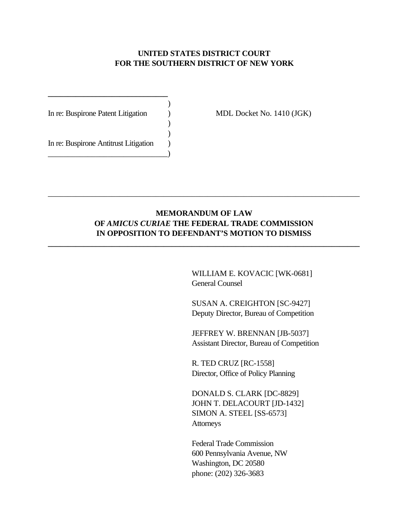### **UNITED STATES DISTRICT COURT FOR THE SOUTHERN DISTRICT OF NEW YORK**

| In re: Buspirone Patent Litigation    |  |
|---------------------------------------|--|
| In re: Buspirone Antitrust Litigation |  |

**\_\_\_\_\_\_\_\_\_\_\_\_\_\_\_\_\_\_\_\_\_\_\_\_\_\_\_\_\_\_**

MDL Docket No. 1410 (JGK)

### **MEMORANDUM OF LAW OF** *AMICUS CURIAE* **THE FEDERAL TRADE COMMISSION IN OPPOSITION TO DEFENDANT'S MOTION TO DISMISS**

**\_\_\_\_\_\_\_\_\_\_\_\_\_\_\_\_\_\_\_\_\_\_\_\_\_\_\_\_\_\_\_\_\_\_\_\_\_\_\_\_\_\_\_\_\_\_\_\_\_\_\_\_\_\_\_\_\_\_\_\_\_\_\_\_\_\_\_\_\_\_\_\_\_\_\_\_\_\_**

\_\_\_\_\_\_\_\_\_\_\_\_\_\_\_\_\_\_\_\_\_\_\_\_\_\_\_\_\_\_\_\_\_\_\_\_\_\_\_\_\_\_\_\_\_\_\_\_\_\_\_\_\_\_\_\_\_\_\_\_\_\_\_\_\_\_\_\_\_\_\_\_\_\_\_\_\_\_

WILLIAM E. KOVACIC [WK-0681] General Counsel

SUSAN A. CREIGHTON [SC-9427] Deputy Director, Bureau of Competition

JEFFREY W. BRENNAN [JB-5037] Assistant Director, Bureau of Competition

R. TED CRUZ [RC-1558] Director, Office of Policy Planning

DONALD S. CLARK [DC-8829] JOHN T. DELACOURT [JD-1432] SIMON A. STEEL [SS-6573] Attorneys

Federal Trade Commission 600 Pennsylvania Avenue, NW Washington, DC 20580 phone: (202) 326-3683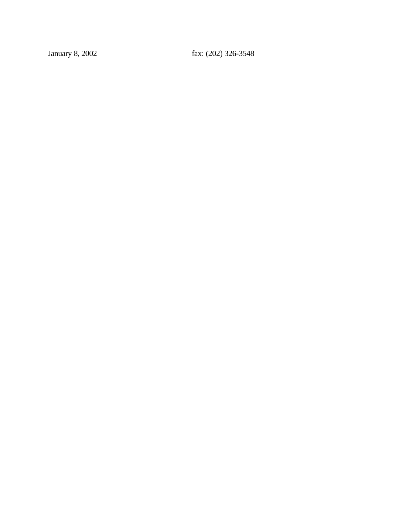January 8, 2002 fax: (202) 326-3548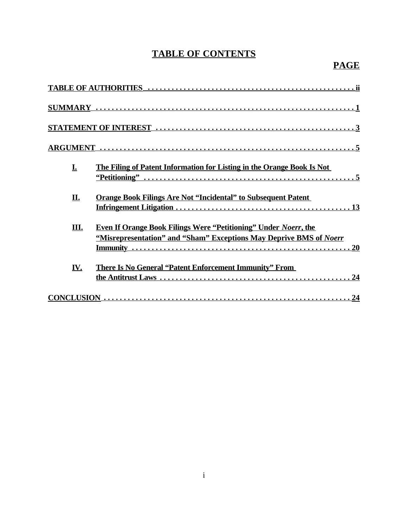# **TABLE OF CONTENTS**

# **PAGE**

| I.  | The Filing of Patent Information for Listing in the Orange Book Is Not                                                                                                                                                                                                                      |
|-----|---------------------------------------------------------------------------------------------------------------------------------------------------------------------------------------------------------------------------------------------------------------------------------------------|
| II. | <b>Orange Book Filings Are Not "Incidental" to Subsequent Patent</b>                                                                                                                                                                                                                        |
| Ш.  | <b>Even If Orange Book Filings Were "Petitioning" Under Noerr, the</b><br>"Misrepresentation" and "Sham" Exceptions May Deprive BMS of Noerr                                                                                                                                                |
| IV. | <b>There Is No General "Patent Enforcement Immunity" From</b>                                                                                                                                                                                                                               |
|     | $CONCLUSION ________ ________ ________ ________ ________ ________ ________ ________ ________ ________ ________ ________ ________ ________ ________ ________ ________ ________ ________ ________ ________ ________ ________ ________ ________ ________ ________ ________ ________ ________ $ |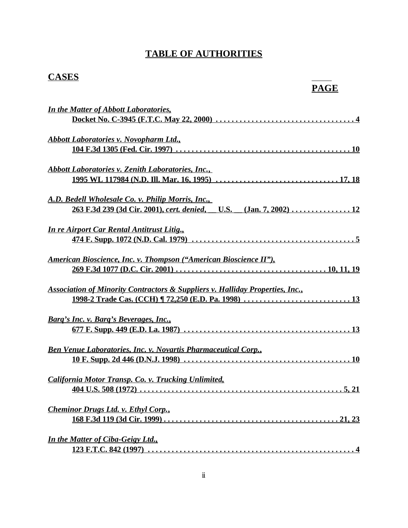## **TABLE OF AUTHORITIES**

# **CASES**

# **PAGE**

| <b>In the Matter of Abbott Laboratories,</b>                                                                            |
|-------------------------------------------------------------------------------------------------------------------------|
| <b>Abbott Laboratories v. Novopharm Ltd.</b> ,                                                                          |
| <b>Abbott Laboratories v. Zenith Laboratories, Inc.,</b>                                                                |
| A.D. Bedell Wholesale Co. v. Philip Morris, Inc.,<br>263 F.3d 239 (3d Cir. 2001), cert. denied, U.S. (Jan. 7, 2002)  12 |
| <b>In re Airport Car Rental Antitrust Litig.</b>                                                                        |
| American Bioscience, Inc. v. Thompson ("American Bioscience II"),                                                       |
| <b>Association of Minority Contractors &amp; Suppliers v. Halliday Properties, Inc.,</b>                                |
| <u>Barg's Inc. v. Barg's Beverages, Inc.,</u>                                                                           |
| <b>Ben Venue Laboratories, Inc. v. Novartis Pharmaceutical Corp.,</b>                                                   |
| California Motor Transp. Co. v. Trucking Unlimited.<br>404 U.S. 508 (1972) $\ldots$                                     |
| <b>Cheminor Drugs Ltd. v. Ethyl Corp.,</b><br>21, 23                                                                    |
| <b>In the Matter of Ciba-Geigy Ltd.,</b>                                                                                |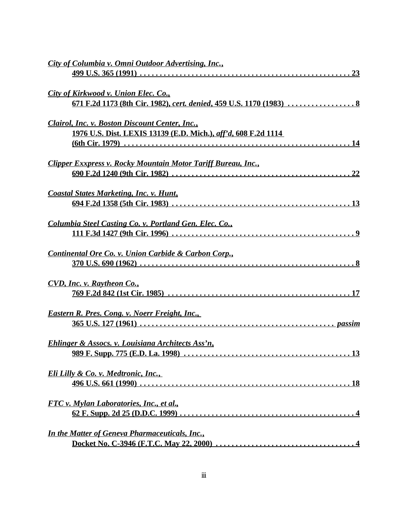| City of Columbia v. Omni Outdoor Advertising, Inc.,                                                              |
|------------------------------------------------------------------------------------------------------------------|
| City of Kirkwood v. Union Elec. Co.,                                                                             |
| Clairol, Inc. v. Boston Discount Center, Inc.,<br>1976 U.S. Dist. LEXIS 13139 (E.D. Mich.), aff'd, 608 F.2d 1114 |
| Clipper Exxpress v. Rocky Mountain Motor Tariff Bureau, Inc.,                                                    |
| <b>Coastal States Marketing, Inc. v. Hunt,</b>                                                                   |
| Columbia Steel Casting Co. v. Portland Gen. Elec. Co.,                                                           |
| Continental Ore Co. v. Union Carbide & Carbon Corp.,                                                             |
| CVD, Inc. v. Raytheon Co.,                                                                                       |
| <b>Eastern R. Pres. Cong. v. Noerr Freight, Inc.,</b>                                                            |
| <b>Ehlinger &amp; Assocs. v. Louisiana Architects Ass'n,</b><br>13<br>989 F. Supp. 775 (E.D. La. 1998)           |
| <u>Eli Lilly &amp; Co. v. Medtronic, Inc.,</u>                                                                   |
| <u>FTC v. Mylan Laboratories, Inc., et al.,</u>                                                                  |
| <b>In the Matter of Geneva Pharmaceuticals, Inc.,</b>                                                            |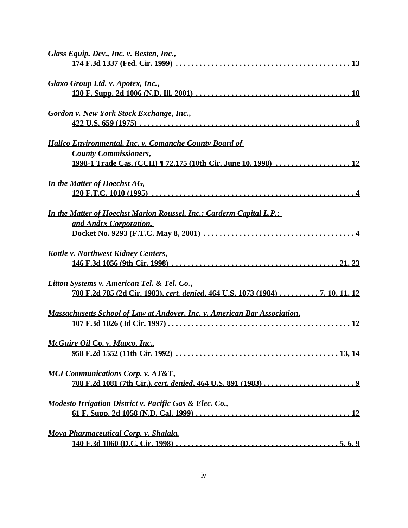| Glass Equip. Dev., Inc. v. Besten, Inc.,                                         |
|----------------------------------------------------------------------------------|
|                                                                                  |
| Glaxo Group Ltd. v. Apotex, Inc.,                                                |
|                                                                                  |
|                                                                                  |
| <b>Gordon v. New York Stock Exchange, Inc.,</b>                                  |
|                                                                                  |
|                                                                                  |
| <b>Hallco Environmental, Inc. v. Comanche County Board of</b>                    |
| <b>County Commissioners,</b>                                                     |
|                                                                                  |
| <b>In the Matter of Hoechst AG,</b>                                              |
| 120 F.T.C. 1010 (1995)                                                           |
|                                                                                  |
| <u>In the Matter of Hoechst Marion Roussel, Inc.; Carderm Capital L.P.;</u>      |
| and Andrx Corporation,                                                           |
|                                                                                  |
|                                                                                  |
| <u><b>Kottle v. Northwest Kidney Centers,</b></u>                                |
|                                                                                  |
|                                                                                  |
| Litton Systems v. American Tel. & Tel. Co.,                                      |
| 700 F.2d 785 (2d Cir. 1983), cert. denied, 464 U.S. 1073 (1984) 7, 10, 11, 12    |
| <b>Massachusetts School of Law at Andover, Inc. v. American Bar Association,</b> |
| <u> 107 F.3d 1026 (3d Cir. 1997)</u>                                             |
|                                                                                  |
| McGuire Oil Co. v. Mapco, Inc.,                                                  |
|                                                                                  |
|                                                                                  |
| <b>MCI Communications Corp. v. AT&amp;T,</b>                                     |
|                                                                                  |
|                                                                                  |
| Modesto Irrigation District v. Pacific Gas & Elec. Co.,                          |
|                                                                                  |
| <b>Mova Pharmaceutical Corp. v. Shalala,</b>                                     |
|                                                                                  |
|                                                                                  |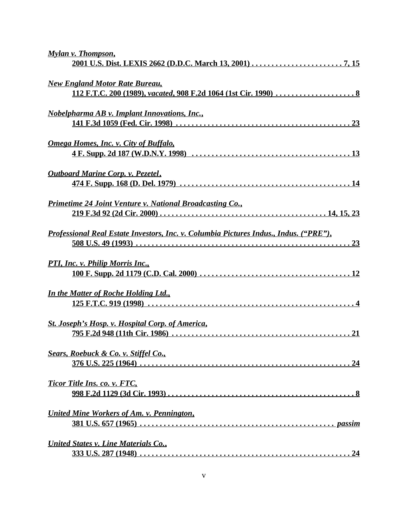| <b>Mylan v. Thompson,</b>                                                             |
|---------------------------------------------------------------------------------------|
| <b>New England Motor Rate Bureau,</b>                                                 |
| <b>Nobelpharma AB v. Implant Innovations, Inc.,</b>                                   |
| <b>Omega Homes, Inc. v. City of Buffalo,</b>                                          |
| <b>Outboard Marine Corp. v. Pezetel,</b>                                              |
| <u>Primetime 24 Joint Venture v. National Broadcasting Co.</u>                        |
| Professional Real Estate Investors, Inc. v. Columbia Pictures Indus., Indus. ("PRE"), |
| <b>PTI, Inc. v. Philip Morris Inc.,</b>                                               |
| <b>In the Matter of Roche Holding Ltd.,</b>                                           |
| <b>St. Joseph's Hosp. v. Hospital Corp. of America,</b>                               |
| <b>Sears, Roebuck &amp; Co. v. Stiffel Co.,</b>                                       |
| Ticor Title Ins. co. v. FTC,                                                          |
| United Mine Workers of Am. v. Pennington,                                             |
| <b>United States v. Line Materials Co.,</b>                                           |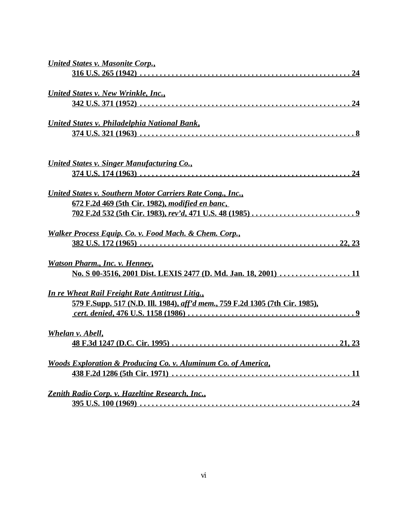| <b>United States v. Masonite Corp.,</b>                                             |
|-------------------------------------------------------------------------------------|
|                                                                                     |
| <b>United States v. New Wrinkle, Inc.,</b>                                          |
|                                                                                     |
| United States v. Philadelphia National Bank,                                        |
|                                                                                     |
|                                                                                     |
| <b>United States v. Singer Manufacturing Co.,</b>                                   |
|                                                                                     |
| United States v. Southern Motor Carriers Rate Cong., Inc.,                          |
| 672 F.2d 469 (5th Cir. 1982), modified en banc,                                     |
|                                                                                     |
| Walker Process Equip. Co. v. Food Mach. & Chem. Corp.,                              |
|                                                                                     |
| <b>Watson Pharm., Inc. v. Henney,</b>                                               |
| No. S 00-3516, 2001 Dist. LEXIS 2477 (D. Md. Jan. 18, 2001)  11                     |
|                                                                                     |
| In re Wheat Rail Freight Rate Antitrust Litig.,                                     |
| <u>579 F.Supp. 517 (N.D. Ill. 1984), aff'd mem., 759 F.2d 1305 (7th Cir. 1985),</u> |
|                                                                                     |
| Whelan v. Abell,                                                                    |
|                                                                                     |
| <b>Woods Exploration &amp; Producing Co. v. Aluminum Co. of America,</b>            |
|                                                                                     |
| Zenith Radio Corp. v. Hazeltine Research, Inc.,                                     |
|                                                                                     |
|                                                                                     |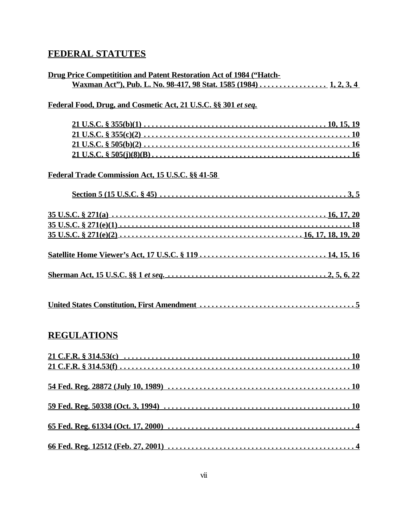## **FEDERAL STATUTES**

| <b>Drug Price Competitition and Patent Restoration Act of 1984 ("Hatch-</b> |  |
|-----------------------------------------------------------------------------|--|
| Waxman Act"), Pub. L. No. 98-417, 98 Stat. 1585 (1984) 1, 2, 3, 4           |  |

### **Federal Food, Drug, and Cosmetic Act, 21 U.S.C. §§ 301** *et seq.*

### **Federal Trade Commission Act, 15 U.S.C. §§ 41-58**

## **REGULATIONS**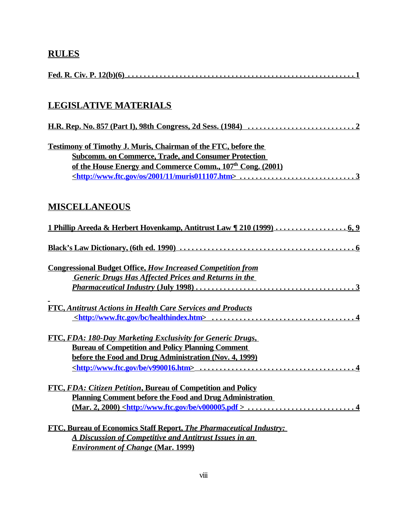# **RULES**

# **LEGISLATIVE MATERIALS**

| Testimony of Timothy J. Muris, Chairman of the FTC, before the         |  |
|------------------------------------------------------------------------|--|
| <b>Subcomm. on Commerce, Trade, and Consumer Protection</b>            |  |
| of the House Energy and Commerce Comm., 107 <sup>th</sup> Cong. (2001) |  |
|                                                                        |  |

## **MISCELLANEOUS**

| <b>Congressional Budget Office, How Increased Competition from</b>  |
|---------------------------------------------------------------------|
| <b>Generic Drugs Has Affected Prices and Returns in the</b>         |
|                                                                     |
| FTC, Antitrust Actions in Health Care Services and Products         |
|                                                                     |
| FTC, FDA: 180-Day Marketing Exclusivity for Generic Drugs,          |
| <b>Bureau of Competition and Policy Planning Comment</b>            |
| before the Food and Drug Administration (Nov. 4, 1999)              |
|                                                                     |
| <b>FTC, FDA: Citizen Petition, Bureau of Competition and Policy</b> |
| <b>Planning Comment before the Food and Drug Administration</b>     |
|                                                                     |
| FTC, Bureau of Economics Staff Report, The Pharmaceutical Industry: |

| <b>FIC, Bureau of Economics Staff Report, The Pharmaceutical Industry:</b> |  |
|----------------------------------------------------------------------------|--|
| A Discussion of Competitive and Antitrust Issues in an                     |  |
| <i>Environment of Change (Mar. 1999)</i>                                   |  |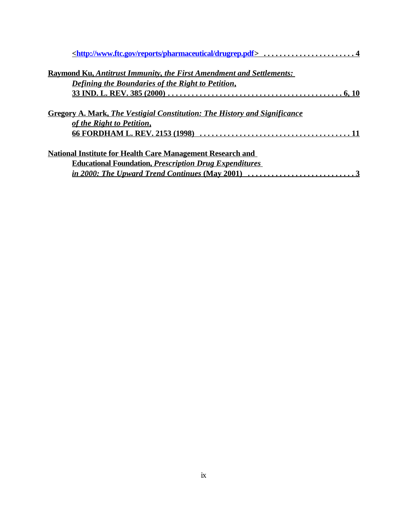| <u><http: drugrep.pdf="" pharmaceutical="" reports="" www.ftc.gov=""> 4</http:></u>                                                      |
|------------------------------------------------------------------------------------------------------------------------------------------|
| <b>Raymond Ku, Antitrust Immunity, the First Amendment and Settlements:</b>                                                              |
| Defining the Boundaries of the Right to Petition,                                                                                        |
|                                                                                                                                          |
| Gregory A. Mark, The Vestigial Constitution: The History and Significance<br>of the Right to Petition,<br>66 FORDHAM L. REV. 2153 (1998) |
| <b>National Institute for Health Care Management Research and</b>                                                                        |
| <b>Educational Foundation, Prescription Drug Expenditures</b>                                                                            |
| <i>in 2000: The Upward Trend Continues (May 2001)</i>                                                                                    |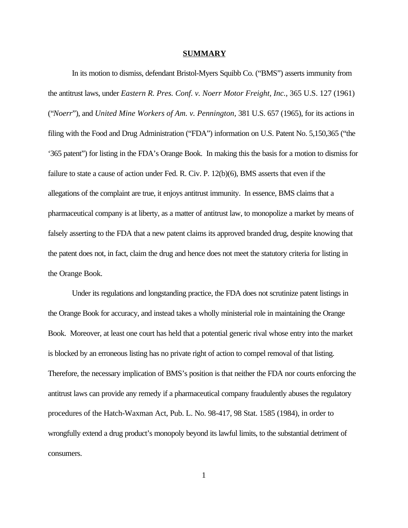#### **SUMMARY**

In its motion to dismiss, defendant Bristol-Myers Squibb Co. ("BMS") asserts immunity from the antitrust laws, under *Eastern R. Pres. Conf. v. Noerr Motor Freight, Inc.,* 365 U.S. 127 (1961) ("*Noerr*"), and *United Mine Workers of Am. v. Pennington,* 381 U.S. 657 (1965), for its actions in filing with the Food and Drug Administration ("FDA") information on U.S. Patent No. 5,150,365 ("the '365 patent") for listing in the FDA's Orange Book. In making this the basis for a motion to dismiss for failure to state a cause of action under Fed. R. Civ. P. 12(b)(6), BMS asserts that even if the allegations of the complaint are true, it enjoys antitrust immunity. In essence, BMS claims that a pharmaceutical company is at liberty, as a matter of antitrust law, to monopolize a market by means of falsely asserting to the FDA that a new patent claims its approved branded drug, despite knowing that the patent does not, in fact, claim the drug and hence does not meet the statutory criteria for listing in the Orange Book.

Under its regulations and longstanding practice, the FDA does not scrutinize patent listings in the Orange Book for accuracy, and instead takes a wholly ministerial role in maintaining the Orange Book. Moreover, at least one court has held that a potential generic rival whose entry into the market is blocked by an erroneous listing has no private right of action to compel removal of that listing. Therefore, the necessary implication of BMS's position is that neither the FDA nor courts enforcing the antitrust laws can provide any remedy if a pharmaceutical company fraudulently abuses the regulatory procedures of the Hatch-Waxman Act, Pub. L. No. 98-417, 98 Stat. 1585 (1984), in order to wrongfully extend a drug product's monopoly beyond its lawful limits, to the substantial detriment of consumers.

1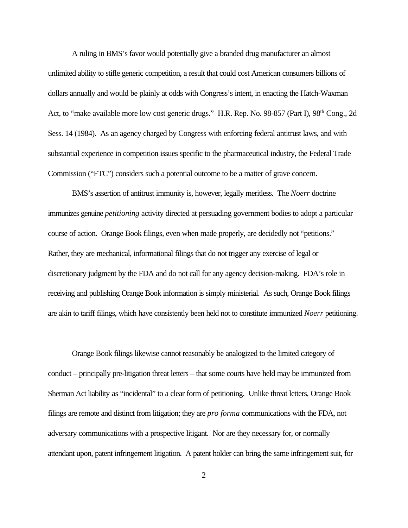A ruling in BMS's favor would potentially give a branded drug manufacturer an almost unlimited ability to stifle generic competition, a result that could cost American consumers billions of dollars annually and would be plainly at odds with Congress's intent, in enacting the Hatch-Waxman Act, to "make available more low cost generic drugs." H.R. Rep. No. 98-857 (Part I), 98<sup>th</sup> Cong., 2d Sess. 14 (1984). As an agency charged by Congress with enforcing federal antitrust laws, and with substantial experience in competition issues specific to the pharmaceutical industry, the Federal Trade Commission ("FTC") considers such a potential outcome to be a matter of grave concern.

BMS's assertion of antitrust immunity is, however, legally meritless. The *Noerr* doctrine immunizes genuine *petitioning* activity directed at persuading government bodies to adopt a particular course of action. Orange Book filings, even when made properly, are decidedly not "petitions." Rather, they are mechanical, informational filings that do not trigger any exercise of legal or discretionary judgment by the FDA and do not call for any agency decision-making. FDA's role in receiving and publishing Orange Book information is simply ministerial. As such, Orange Book filings are akin to tariff filings, which have consistently been held not to constitute immunized *Noerr* petitioning.

Orange Book filings likewise cannot reasonably be analogized to the limited category of conduct – principally pre-litigation threat letters – that some courts have held may be immunized from Sherman Act liability as "incidental" to a clear form of petitioning. Unlike threat letters, Orange Book filings are remote and distinct from litigation; they are *pro forma* communications with the FDA, not adversary communications with a prospective litigant. Nor are they necessary for, or normally attendant upon, patent infringement litigation. A patent holder can bring the same infringement suit, for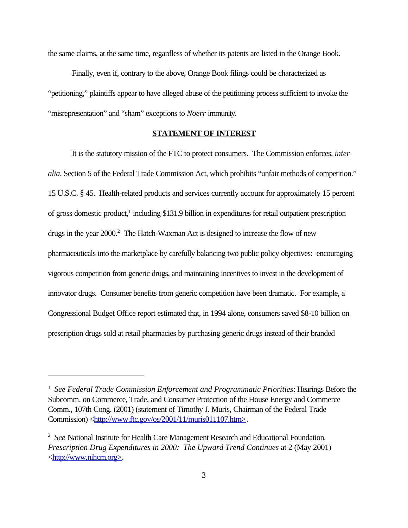the same claims, at the same time, regardless of whether its patents are listed in the Orange Book.

Finally, even if, contrary to the above, Orange Book filings could be characterized as "petitioning," plaintiffs appear to have alleged abuse of the petitioning process sufficient to invoke the "misrepresentation" and "sham" exceptions to *Noerr* immunity.

### **STATEMENT OF INTEREST**

It is the statutory mission of the FTC to protect consumers. The Commission enforces, *inter alia*, Section 5 of the Federal Trade Commission Act, which prohibits "unfair methods of competition." 15 U.S.C. § 45. Health-related products and services currently account for approximately 15 percent of gross domestic product,<sup>1</sup> including \$131.9 billion in expenditures for retail outpatient prescription drugs in the year 2000.<sup>2</sup> The Hatch-Waxman Act is designed to increase the flow of new pharmaceuticals into the marketplace by carefully balancing two public policy objectives: encouraging vigorous competition from generic drugs, and maintaining incentives to invest in the development of innovator drugs. Consumer benefits from generic competition have been dramatic. For example, a Congressional Budget Office report estimated that, in 1994 alone, consumers saved \$8-10 billion on prescription drugs sold at retail pharmacies by purchasing generic drugs instead of their branded

<sup>1</sup> *See Federal Trade Commission Enforcement and Programmatic Priorities*: Hearings Before the Subcomm. on Commerce, Trade, and Consumer Protection of the House Energy and Commerce Comm., 107th Cong. (2001) (statement of Timothy J. Muris, Chairman of the Federal Trade Commission) <http://www.ftc.gov/os/2001/11/muris011107.htm>.

<sup>2</sup> *See* National Institute for Health Care Management Research and Educational Foundation, *Prescription Drug Expenditures in 2000: The Upward Trend Continues* at 2 (May 2001) <http://www.nihcm.org>.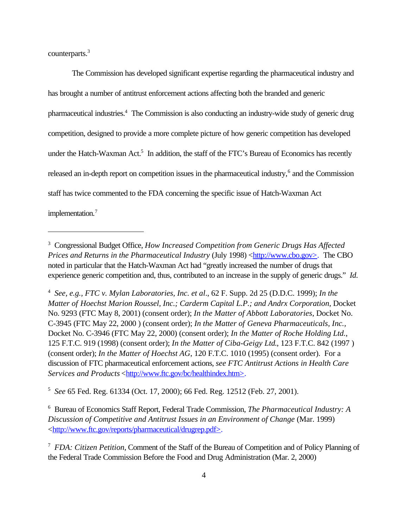counterparts.<sup>3</sup>

The Commission has developed significant expertise regarding the pharmaceutical industry and has brought a number of antitrust enforcement actions affecting both the branded and generic pharmaceutical industries.<sup>4</sup> The Commission is also conducting an industry-wide study of generic drug competition, designed to provide a more complete picture of how generic competition has developed under the Hatch-Waxman Act.<sup>5</sup> In addition, the staff of the FTC's Bureau of Economics has recently released an in-depth report on competition issues in the pharmaceutical industry,<sup>6</sup> and the Commission staff has twice commented to the FDA concerning the specific issue of Hatch-Waxman Act implementation.<sup>7</sup>

5 *See* 65 Fed. Reg. 61334 (Oct. 17, 2000); 66 Fed. Reg. 12512 (Feb. 27, 2001).

6 Bureau of Economics Staff Report, Federal Trade Commission, *The Pharmaceutical Industry: A Discussion of Competitive and Antitrust Issues in an Environment of Change* (Mar. 1999) <http://www.ftc.gov/reports/pharmaceutical/drugrep.pdf>.

<sup>3</sup> Congressional Budget Office, *How Increased Competition from Generic Drugs Has Affected Prices and Returns in the Pharmaceutical Industry* (July 1998) <http://www.cbo.gov>. The CBO noted in particular that the Hatch-Waxman Act had "greatly increased the number of drugs that experience generic competition and, thus, contributed to an increase in the supply of generic drugs." *Id.*

<sup>4</sup> *See, e.g., FTC v. Mylan Laboratories, Inc. et al*., 62 F. Supp. 2d 25 (D.D.C. 1999); *In the Matter of Hoechst Marion Roussel, Inc.; Carderm Capital L.P.; and Andrx Corporation*, Docket No. 9293 (FTC May 8, 2001) (consent order); *In the Matter of Abbott Laboratories*, Docket No. C-3945 (FTC May 22, 2000 ) (consent order); *In the Matter of Geneva Pharmaceuticals, Inc.,* Docket No. C-3946 (FTC May 22, 2000) (consent order); *In the Matter of Roche Holding Ltd.*, 125 F.T.C. 919 (1998) (consent order); *In the Matter of Ciba-Geigy Ltd*., 123 F.T.C. 842 (1997 ) (consent order); *In the Matter of Hoechst AG*, 120 F.T.C. 1010 (1995) (consent order). For a discussion of FTC pharmaceutical enforcement actions, *see FTC Antitrust Actions in Health Care Services and Products* <http://www.ftc.gov/bc/healthindex.htm>.

<sup>7</sup> *FDA: Citizen Petition*, Comment of the Staff of the Bureau of Competition and of Policy Planning of the Federal Trade Commission Before the Food and Drug Administration (Mar. 2, 2000)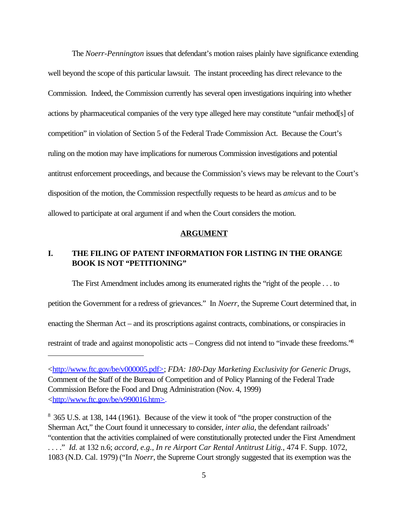The *Noerr-Pennington* issues that defendant's motion raises plainly have significance extending well beyond the scope of this particular lawsuit. The instant proceeding has direct relevance to the Commission. Indeed, the Commission currently has several open investigations inquiring into whether actions by pharmaceutical companies of the very type alleged here may constitute "unfair method[s] of competition" in violation of Section 5 of the Federal Trade Commission Act. Because the Court's ruling on the motion may have implications for numerous Commission investigations and potential antitrust enforcement proceedings, and because the Commission's views may be relevant to the Court's disposition of the motion, the Commission respectfully requests to be heard as *amicus* and to be allowed to participate at oral argument if and when the Court considers the motion.

#### **ARGUMENT**

### **I. THE FILING OF PATENT INFORMATION FOR LISTING IN THE ORANGE BOOK IS NOT "PETITIONING"**

The First Amendment includes among its enumerated rights the "right of the people . . . to petition the Government for a redress of grievances." In *Noerr*, the Supreme Court determined that, in enacting the Sherman Act – and its proscriptions against contracts, combinations, or conspiracies in restraint of trade and against monopolistic acts – Congress did not intend to "invade these freedoms."8

<sup>&</sup>lt;http://www.ftc.gov/be/v000005.pdf>; *FDA: 180-Day Marketing Exclusivity for Generic Drugs*, Comment of the Staff of the Bureau of Competition and of Policy Planning of the Federal Trade Commission Before the Food and Drug Administration (Nov. 4, 1999) <http://www.ftc.gov/be/v990016.htm>.

<sup>&</sup>lt;sup>8</sup> 365 U.S. at 138, 144 (1961). Because of the view it took of "the proper construction of the Sherman Act," the Court found it unnecessary to consider, *inter alia*, the defendant railroads' "contention that the activities complained of were constitutionally protected under the First Amendment . . . ." *Id.* at 132 n.6; *accord, e.g., In re Airport Car Rental Antitrust Litig.*, 474 F. Supp. 1072, 1083 (N.D. Cal. 1979) ("In *Noerr*, the Supreme Court strongly suggested that its exemption was the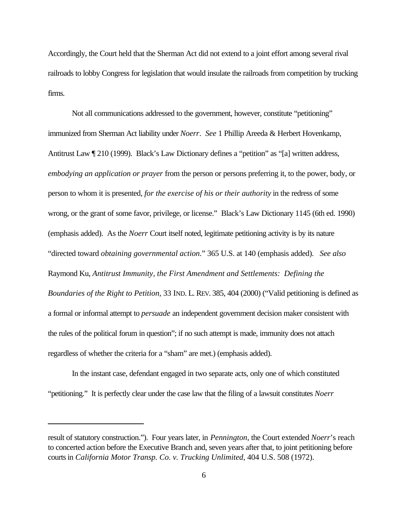Accordingly, the Court held that the Sherman Act did not extend to a joint effort among several rival railroads to lobby Congress for legislation that would insulate the railroads from competition by trucking firms.

Not all communications addressed to the government, however, constitute "petitioning" immunized from Sherman Act liability under *Noerr*. *See* 1 Phillip Areeda & Herbert Hovenkamp, Antitrust Law ¶ 210 (1999). Black's Law Dictionary defines a "petition" as "[a] written address, *embodying an application or prayer* from the person or persons preferring it, to the power, body, or person to whom it is presented, *for the exercise of his or their authority* in the redress of some wrong, or the grant of some favor, privilege, or license." Black's Law Dictionary 1145 (6th ed. 1990) (emphasis added). As the *Noerr* Court itself noted, legitimate petitioning activity is by its nature "directed toward *obtaining governmental action.*" 365 U.S. at 140 (emphasis added). *See also* Raymond Ku, *Antitrust Immunity, the First Amendment and Settlements: Defining the Boundaries of the Right to Petition,* 33 IND. L. REV. 385, 404 (2000) ("Valid petitioning is defined as a formal or informal attempt to *persuade* an independent government decision maker consistent with the rules of the political forum in question"; if no such attempt is made, immunity does not attach regardless of whether the criteria for a "sham" are met.) (emphasis added).

In the instant case, defendant engaged in two separate acts, only one of which constituted "petitioning." It is perfectly clear under the case law that the filing of a lawsuit constitutes *Noerr*

result of statutory construction."). Four years later, in *Pennington*, the Court extended *Noerr*'s reach to concerted action before the Executive Branch and, seven years after that, to joint petitioning before courts in *California Motor Transp. Co. v. Trucking Unlimited*, 404 U.S. 508 (1972).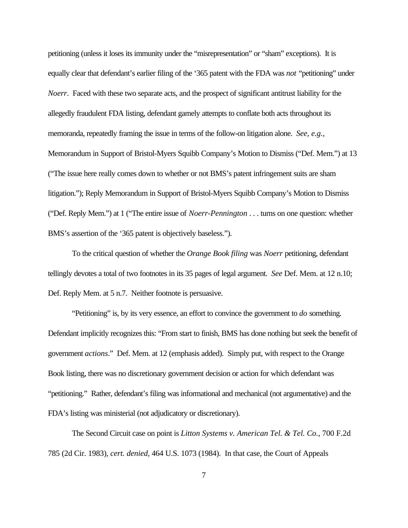petitioning (unless it loses its immunity under the "misrepresentation" or "sham" exceptions). It is equally clear that defendant's earlier filing of the '365 patent with the FDA was *not* "petitioning" under *Noerr*. Faced with these two separate acts, and the prospect of significant antitrust liability for the allegedly fraudulent FDA listing, defendant gamely attempts to conflate both acts throughout its memoranda, repeatedly framing the issue in terms of the follow-on litigation alone. *See, e.g.,* Memorandum in Support of Bristol-Myers Squibb Company's Motion to Dismiss ("Def. Mem.") at 13 ("The issue here really comes down to whether or not BMS's patent infringement suits are sham litigation."); Reply Memorandum in Support of Bristol-Myers Squibb Company's Motion to Dismiss ("Def. Reply Mem.") at 1 ("The entire issue of *Noerr-Pennington* . . . turns on one question: whether BMS's assertion of the '365 patent is objectively baseless.").

To the critical question of whether the *Orange Book filing* was *Noerr* petitioning, defendant tellingly devotes a total of two footnotes in its 35 pages of legal argument. *See* Def. Mem. at 12 n.10; Def. Reply Mem. at 5 n.7. Neither footnote is persuasive.

"Petitioning" is, by its very essence, an effort to convince the government to *do* something. Defendant implicitly recognizes this: "From start to finish, BMS has done nothing but seek the benefit of government *actions*." Def. Mem. at 12 (emphasis added). Simply put, with respect to the Orange Book listing, there was no discretionary government decision or action for which defendant was "petitioning." Rather, defendant's filing was informational and mechanical (not argumentative) and the FDA's listing was ministerial (not adjudicatory or discretionary).

The Second Circuit case on point is *Litton Systems v. American Tel. & Tel. Co.*, 700 F.2d 785 (2d Cir. 1983), *cert. denied*, 464 U.S. 1073 (1984). In that case, the Court of Appeals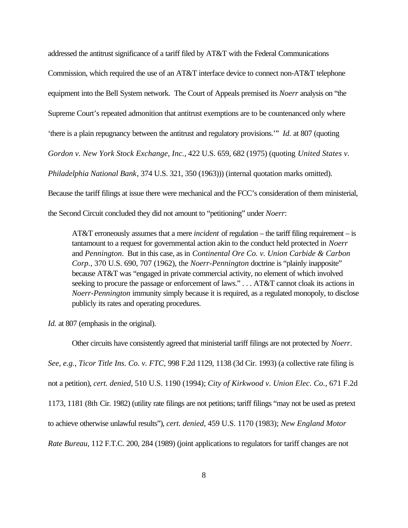addressed the antitrust significance of a tariff filed by AT&T with the Federal Communications Commission, which required the use of an AT&T interface device to connect non-AT&T telephone equipment into the Bell System network. The Court of Appeals premised its *Noerr* analysis on "the Supreme Court's repeated admonition that antitrust exemptions are to be countenanced only where 'there is a plain repugnancy between the antitrust and regulatory provisions.'" *Id.* at 807 (quoting *Gordon v. New York Stock Exchange, Inc.*, 422 U.S. 659, 682 (1975) (quoting *United States v. Philadelphia National Bank*, 374 U.S. 321, 350 (1963))) (internal quotation marks omitted). Because the tariff filings at issue there were mechanical and the FCC's consideration of them ministerial, the Second Circuit concluded they did not amount to "petitioning" under *Noerr*:

AT&T erroneously assumes that a mere *incident* of regulation – the tariff filing requirement – is tantamount to a request for governmental action akin to the conduct held protected in *Noerr* and *Pennington*. But in this case, as in *Continental Ore Co. v. Union Carbide & Carbon Corp.*, 370 U.S. 690, 707 (1962), the *Noerr-Pennington* doctrine is "plainly inapposite" because AT&T was "engaged in private commercial activity, no element of which involved seeking to procure the passage or enforcement of laws."... AT&T cannot cloak its actions in *Noerr-Pennington* immunity simply because it is required, as a regulated monopoly, to disclose publicly its rates and operating procedures.

*Id.* at 807 (emphasis in the original).

Other circuits have consistently agreed that ministerial tariff filings are not protected by *Noerr*. *See, e.g., Ticor Title Ins. Co. v. FTC,* 998 F.2d 1129, 1138 (3d Cir. 1993) (a collective rate filing is not a petition), *cert. denied*, 510 U.S. 1190 (1994); *City of Kirkwood v. Union Elec. Co.,* 671 F.2d 1173, 1181 (8th Cir. 1982) (utility rate filings are not petitions; tariff filings "may not be used as pretext to achieve otherwise unlawful results"), *cert. denied*, 459 U.S. 1170 (1983); *New England Motor Rate Bureau,* 112 F.T.C. 200, 284 (1989) (joint applications to regulators for tariff changes are not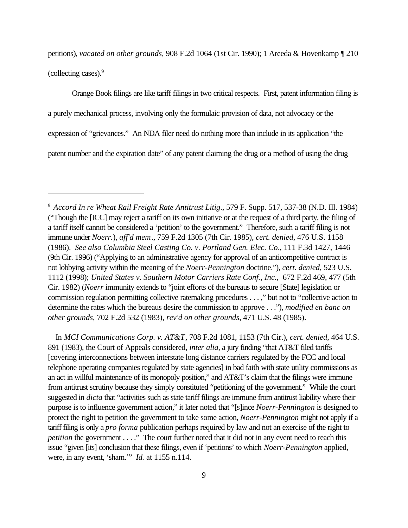petitions), *vacated on other grounds,* 908 F.2d 1064 (1st Cir. 1990); 1 Areeda & Hovenkamp ¶ 210 (collecting cases).<sup>9</sup>

Orange Book filings are like tariff filings in two critical respects. First, patent information filing is a purely mechanical process, involving only the formulaic provision of data, not advocacy or the expression of "grievances." An NDA filer need do nothing more than include in its application "the patent number and the expiration date" of any patent claiming the drug or a method of using the drug

 In *MCI Communications Corp. v. AT&T*, 708 F.2d 1081, 1153 (7th Cir.), *cert. denied*, 464 U.S. 891 (1983), the Court of Appeals considered, *inter alia*, a jury finding "that AT&T filed tariffs [covering interconnections between interstate long distance carriers regulated by the FCC and local telephone operating companies regulated by state agencies] in bad faith with state utility commissions as an act in willful maintenance of its monopoly position," and AT&T's claim that the filings were immune from antitrust scrutiny because they simply constituted "petitioning of the government." While the court suggested in *dicta* that "activities such as state tariff filings are immune from antitrust liability where their purpose is to influence government action," it later noted that "[s]ince *Noerr-Pennington* is designed to protect the right to petition the government to take some action, *Noerr-Pennington* might not apply if a tariff filing is only a *pro forma* publication perhaps required by law and not an exercise of the right to *petition* the government . . . ." The court further noted that it did not in any event need to reach this issue "given [its] conclusion that these filings, even if 'petitions' to which *Noerr-Pennington* applied, were, in any event, 'sham.'" *Id.* at 1155 n.114.

<sup>9</sup> *Accord In re Wheat Rail Freight Rate Antitrust Litig*., 579 F. Supp. 517, 537-38 (N.D. Ill. 1984) ("Though the [ICC] may reject a tariff on its own initiative or at the request of a third party, the filing of a tariff itself cannot be considered a 'petition' to the government." Therefore, such a tariff filing is not immune under *Noerr.*), *aff'd mem*., 759 F.2d 1305 (7th Cir. 1985), *cert. denied*, 476 U.S. 1158 (1986). *See also Columbia Steel Casting Co. v. Portland Gen. Elec. Co*., 111 F.3d 1427, 1446 (9th Cir. 1996) ("Applying to an administrative agency for approval of an anticompetitive contract is not lobbying activity within the meaning of the *Noerr-Pennington* doctrine."), *cert. denied*, 523 U.S. 1112 (1998); *United States v. Southern Motor Carriers Rate Conf., Inc.*, 672 F.2d 469, 477 (5th Cir. 1982) (*Noerr* immunity extends to "joint efforts of the bureaus to secure [State] legislation or commission regulation permitting collective ratemaking procedures . . . ," but not to "collective action to determine the rates which the bureaus desire the commission to approve . . ."), *modified en banc on other grounds*, 702 F.2d 532 (1983), *rev'd on other grounds*, 471 U.S. 48 (1985).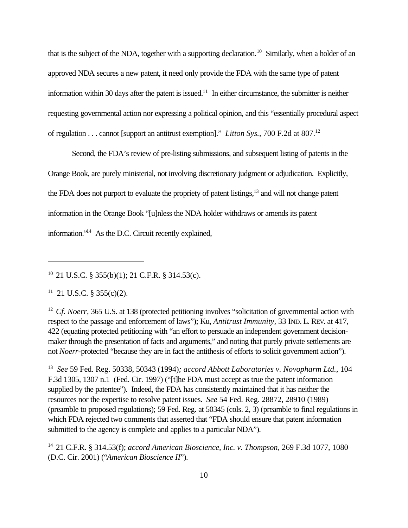that is the subject of the NDA, together with a supporting declaration.<sup>10</sup> Similarly, when a holder of an approved NDA secures a new patent, it need only provide the FDA with the same type of patent information within 30 days after the patent is issued.<sup>11</sup> In either circumstance, the submitter is neither requesting governmental action nor expressing a political opinion, and this "essentially procedural aspect of regulation . . . cannot [support an antitrust exemption]." *Litton Sys.*, 700 F.2d at 807.<sup>12</sup>

Second, the FDA's review of pre-listing submissions, and subsequent listing of patents in the Orange Book, are purely ministerial, not involving discretionary judgment or adjudication. Explicitly, the FDA does not purport to evaluate the propriety of patent listings,<sup>13</sup> and will not change patent information in the Orange Book "[u]nless the NDA holder withdraws or amends its patent information."14 As the D.C. Circuit recently explained,

10 21 U.S.C. § 355(b)(1); 21 C.F.R. § 314.53(c).

 $11$  21 U.S.C. § 355(c)(2).

<sup>12</sup> Cf. Noerr, 365 U.S. at 138 (protected petitioning involves "solicitation of governmental action with respect to the passage and enforcement of laws"); Ku, *Antitrust Immunity,* 33 IND. L. REV. at 417, 422 (equating protected petitioning with "an effort to persuade an independent government decisionmaker through the presentation of facts and arguments," and noting that purely private settlements are not *Noerr-*protected "because they are in fact the antithesis of efforts to solicit government action").

13 *See* 59 Fed. Reg. 50338, 50343 (1994)*; accord Abbott Laboratories v. Novopharm Ltd.*, 104 F.3d 1305, 1307 n.1 (Fed. Cir. 1997) ("[t]he FDA must accept as true the patent information supplied by the patentee"). Indeed, the FDA has consistently maintained that it has neither the resources nor the expertise to resolve patent issues. *See* 54 Fed. Reg. 28872, 28910 (1989) (preamble to proposed regulations); 59 Fed. Reg. at 50345 (cols. 2, 3) (preamble to final regulations in which FDA rejected two comments that asserted that "FDA should ensure that patent information submitted to the agency is complete and applies to a particular NDA").

14 21 C.F.R. § 314.53(f); *accord American Bioscience, Inc. v. Thompson*, 269 F.3d 1077, 1080 (D.C. Cir. 2001) ("*American Bioscience II*").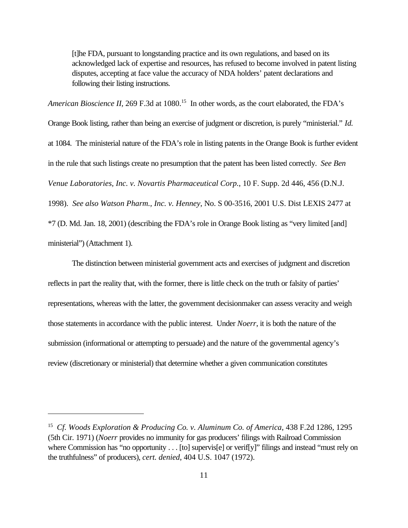[t]he FDA, pursuant to longstanding practice and its own regulations, and based on its acknowledged lack of expertise and resources, has refused to become involved in patent listing disputes, accepting at face value the accuracy of NDA holders' patent declarations and following their listing instructions.

*American Bioscience II, 269 F.3d at 1080.*<sup>15</sup> In other words, as the court elaborated, the FDA's Orange Book listing, rather than being an exercise of judgment or discretion, is purely "ministerial." *Id.* at 1084. The ministerial nature of the FDA's role in listing patents in the Orange Book is further evident in the rule that such listings create no presumption that the patent has been listed correctly. *See Ben Venue Laboratories, Inc. v. Novartis Pharmaceutical Corp.*, 10 F. Supp. 2d 446, 456 (D.N.J. 1998). *See also Watson Pharm., Inc. v. Henney*, No. S 00-3516, 2001 U.S. Dist LEXIS 2477 at \*7 (D. Md. Jan. 18, 2001) (describing the FDA's role in Orange Book listing as "very limited [and] ministerial") (Attachment 1).

The distinction between ministerial government acts and exercises of judgment and discretion reflects in part the reality that, with the former, there is little check on the truth or falsity of parties' representations, whereas with the latter, the government decisionmaker can assess veracity and weigh those statements in accordance with the public interest. Under *Noerr*, it is both the nature of the submission (informational or attempting to persuade) and the nature of the governmental agency's review (discretionary or ministerial) that determine whether a given communication constitutes

<sup>15</sup> *Cf. Woods Exploration & Producing Co. v. Aluminum Co. of America*, 438 F.2d 1286, 1295 (5th Cir. 1971) (*Noerr* provides no immunity for gas producers' filings with Railroad Commission where Commission has "no opportunity . . . [to] supervis[e] or verif[y]" filings and instead "must rely on the truthfulness" of producers), *cert. denied*, 404 U.S. 1047 (1972).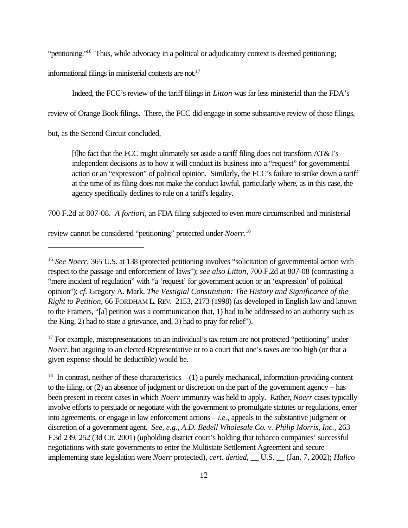"petitioning."<sup>16</sup> Thus, while advocacy in a political or adjudicatory context is deemed petitioning;

informational filings in ministerial contexts are not.<sup>17</sup>

Indeed, the FCC's review of the tariff filings in *Litton* was far less ministerial than the FDA's

review of Orange Book filings. There, the FCC did engage in some substantive review of those filings,

but, as the Second Circuit concluded,

[t]he fact that the FCC might ultimately set aside a tariff filing does not transform AT&T's independent decisions as to how it will conduct its business into a "request" for governmental action or an "expression" of political opinion. Similarly, the FCC's failure to strike down a tariff at the time of its filing does not make the conduct lawful, particularly where, as in this case, the agency specifically declines to rule on a tariff's legality.

700 F.2d at 807-08. *A fortiori*, an FDA filing subjected to even more circumscribed and ministerial

review cannot be considered "petitioning" protected under *Noerr*. 18

<sup>17</sup> For example, misrepresentations on an individual's tax return are not protected "petitioning" under *Noerr*, but arguing to an elected Representative or to a court that one's taxes are too high (or that a given expense should be deductible) would be.

<sup>18</sup> In contrast, neither of these characteristics  $- (1)$  a purely mechanical, information-providing content to the filing, or (2) an absence of judgment or discretion on the part of the government agency – has been present in recent cases in which *Noerr* immunity was held to apply. Rather, *Noerr* cases typically involve efforts to persuade or negotiate with the government to promulgate statutes or regulations, enter into agreements, or engage in law enforcement actions – *i.e.,* appeals to the substantive judgment or discretion of a government agent. *See, e.g., A.D. Bedell Wholesale Co. v. Philip Morris, Inc.,* 263 F.3d 239, 252 (3d Cir. 2001) (upholding district court's holding that tobacco companies' successful negotiations with state governments to enter the Multistate Settlement Agreement and secure implementing state legislation were *Noerr* protected), *cert. denied*, \_\_ U.S. \_\_ (Jan. 7, 2002); *Hallco*

<sup>&</sup>lt;sup>16</sup> *See Noerr*, 365 U.S. at 138 (protected petitioning involves "solicitation of governmental action with respect to the passage and enforcement of laws"); *see also Litton,* 700 F.2d at 807-08 (contrasting a "mere incident of regulation" with "a 'request' for government action or an 'expression' of political opinion"); *cf.* Gregory A. Mark, *The Vestigial Constitution: The History and Significance of the Right to Petition,* 66 FORDHAM L. REV. 2153, 2173 (1998) (as developed in English law and known to the Framers, "[a] petition was a communication that, 1) had to be addressed to an authority such as the King, 2) had to state a grievance, and, 3) had to pray for relief")*.*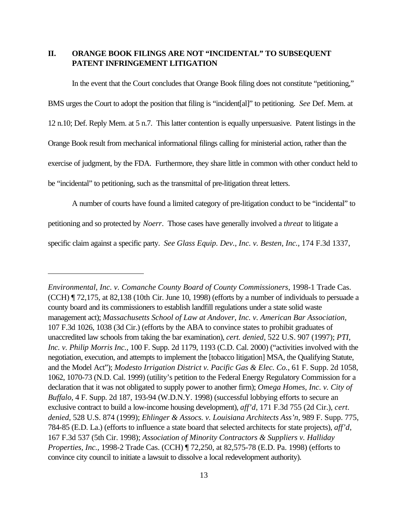### **II. ORANGE BOOK FILINGS ARE NOT "INCIDENTAL" TO SUBSEQUENT PATENT INFRINGEMENT LITIGATION**

In the event that the Court concludes that Orange Book filing does not constitute "petitioning," BMS urges the Court to adopt the position that filing is "incident[al]" to petitioning. *See* Def. Mem. at 12 n.10; Def. Reply Mem. at 5 n.7. This latter contention is equally unpersuasive. Patent listings in the Orange Book result from mechanical informational filings calling for ministerial action, rather than the exercise of judgment, by the FDA. Furthermore, they share little in common with other conduct held to be "incidental" to petitioning, such as the transmittal of pre-litigation threat letters.

A number of courts have found a limited category of pre-litigation conduct to be "incidental" to petitioning and so protected by *Noerr*. Those cases have generally involved a *threat* to litigate a specific claim against a specific party. *See Glass Equip. Dev., Inc. v. Besten, Inc.,* 174 F.3d 1337,

*Environmental, Inc. v. Comanche County Board of County Commissioners*, 1998-1 Trade Cas. (CCH) ¶ 72,175, at 82,138 (10th Cir. June 10, 1998) (efforts by a number of individuals to persuade a county board and its commissioners to establish landfill regulations under a state solid waste management act); *Massachusetts School of Law at Andover, Inc. v. American Bar Association,* 107 F.3d 1026, 1038 (3d Cir.) (efforts by the ABA to convince states to prohibit graduates of unaccredited law schools from taking the bar examination), *cert. denied*, 522 U.S. 907 (1997); *PTI, Inc. v. Philip Morris Inc.,* 100 F. Supp. 2d 1179, 1193 (C.D. Cal. 2000) ("activities involved with the negotiation, execution, and attempts to implement the [tobacco litigation] MSA, the Qualifying Statute, and the Model Act"); *Modesto Irrigation District v. Pacific Gas & Elec. Co.*, 61 F. Supp. 2d 1058, 1062, 1070-73 (N.D. Cal. 1999) (utility's petition to the Federal Energy Regulatory Commission for a declaration that it was not obligated to supply power to another firm); *Omega Homes, Inc. v. City of Buffalo*, 4 F. Supp. 2d 187, 193-94 (W.D.N.Y. 1998) (successful lobbying efforts to secure an exclusive contract to build a low-income housing development), *aff'd*, 171 F.3d 755 (2d Cir.), *cert. denied*, 528 U.S. 874 (1999); *Ehlinger & Assocs. v. Louisiana Architects Ass'n*, 989 F. Supp. 775, 784-85 (E.D. La.) (efforts to influence a state board that selected architects for state projects), *aff'd*, 167 F.3d 537 (5th Cir. 1998); *Association of Minority Contractors & Suppliers v. Halliday Properties, Inc.*, 1998-2 Trade Cas. (CCH) ¶ 72,250, at 82,575-78 (E.D. Pa. 1998) (efforts to convince city council to initiate a lawsuit to dissolve a local redevelopment authority).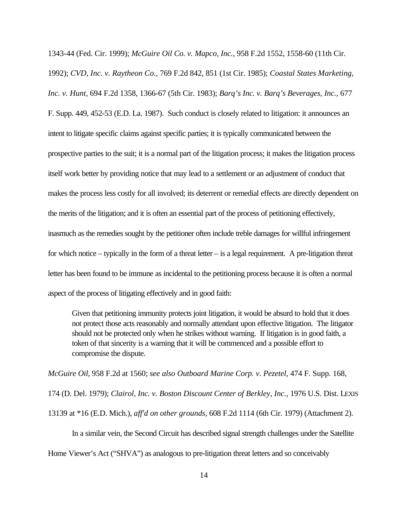1343-44 (Fed. Cir. 1999); *McGuire Oil Co. v. Mapco, Inc.,* 958 F.2d 1552, 1558-60 (11th Cir. 1992); *CVD, Inc. v. Raytheon Co.,* 769 F.2d 842, 851 (1st Cir. 1985); *Coastal States Marketing, Inc. v. Hunt,* 694 F.2d 1358, 1366-67 (5th Cir. 1983); *Barq's Inc. v. Barq's Beverages, Inc.,* 677 F. Supp. 449, 452-53 (E.D. La. 1987). Such conduct is closely related to litigation: it announces an intent to litigate specific claims against specific parties; it is typically communicated between the prospective parties to the suit; it is a normal part of the litigation process; it makes the litigation process itself work better by providing notice that may lead to a settlement or an adjustment of conduct that makes the process less costly for all involved; its deterrent or remedial effects are directly dependent on the merits of the litigation; and it is often an essential part of the process of petitioning effectively, inasmuch as the remedies sought by the petitioner often include treble damages for willful infringement for which notice – typically in the form of a threat letter – is a legal requirement. A pre-litigation threat letter has been found to be immune as incidental to the petitioning process because it is often a normal aspect of the process of litigating effectively and in good faith:

Given that petitioning immunity protects joint litigation, it would be absurd to hold that it does not protect those acts reasonably and normally attendant upon effective litigation. The litigator should not be protected only when he strikes without warning. If litigation is in good faith, a token of that sincerity is a warning that it will be commenced and a possible effort to compromise the dispute.

*McGuire Oil,* 958 F.2d at 1560; *see also Outboard Marine Corp. v. Pezetel,* 474 F. Supp. 168,

174 (D. Del. 1979); *Clairol, Inc. v. Boston Discount Center of Berkley, Inc.,* 1976 U.S. Dist. LEXIS

13139 at \*16 (E.D. Mich.), *aff'd on other grounds*, 608 F.2d 1114 (6th Cir. 1979) (Attachment 2).

In a similar vein, the Second Circuit has described signal strength challenges under the Satellite

Home Viewer's Act ("SHVA") as analogous to pre-litigation threat letters and so conceivably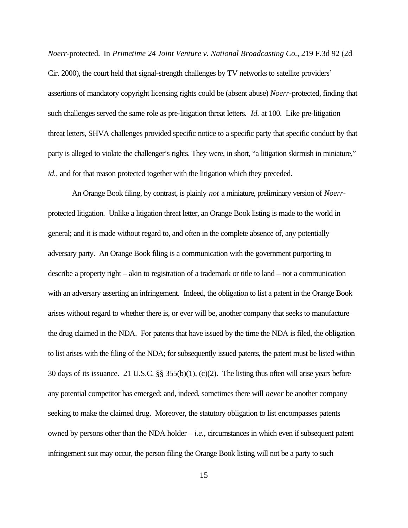*Noerr-*protected. In *Primetime 24 Joint Venture v. National Broadcasting Co.,* 219 F.3d 92 (2d Cir. 2000), the court held that signal-strength challenges by TV networks to satellite providers' assertions of mandatory copyright licensing rights could be (absent abuse) *Noerr-*protected, finding that such challenges served the same role as pre-litigation threat letters*. Id.* at 100. Like pre-litigation threat letters, SHVA challenges provided specific notice to a specific party that specific conduct by that party is alleged to violate the challenger's rights. They were, in short, "a litigation skirmish in miniature," *id.*, and for that reason protected together with the litigation which they preceded.

An Orange Book filing, by contrast, is plainly *not* a miniature, preliminary version of *Noerr*protected litigation. Unlike a litigation threat letter, an Orange Book listing is made to the world in general; and it is made without regard to, and often in the complete absence of, any potentially adversary party. An Orange Book filing is a communication with the government purporting to describe a property right – akin to registration of a trademark or title to land – not a communication with an adversary asserting an infringement. Indeed, the obligation to list a patent in the Orange Book arises without regard to whether there is, or ever will be, another company that seeks to manufacture the drug claimed in the NDA. For patents that have issued by the time the NDA is filed, the obligation to list arises with the filing of the NDA; for subsequently issued patents, the patent must be listed within 30 days of its issuance. 21 U.S.C. §§ 355(b)(1), (c)(2)**.** The listing thus often will arise years before any potential competitor has emerged; and, indeed, sometimes there will *never* be another company seeking to make the claimed drug. Moreover, the statutory obligation to list encompasses patents owned by persons other than the NDA holder – *i.e.*, circumstances in which even if subsequent patent infringement suit may occur, the person filing the Orange Book listing will not be a party to such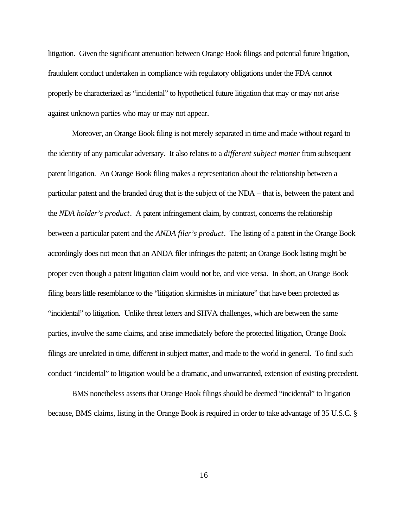litigation. Given the significant attenuation between Orange Book filings and potential future litigation, fraudulent conduct undertaken in compliance with regulatory obligations under the FDA cannot properly be characterized as "incidental" to hypothetical future litigation that may or may not arise against unknown parties who may or may not appear.

Moreover, an Orange Book filing is not merely separated in time and made without regard to the identity of any particular adversary. It also relates to a *different subject matter* from subsequent patent litigation. An Orange Book filing makes a representation about the relationship between a particular patent and the branded drug that is the subject of the NDA – that is, between the patent and the *NDA holder's product*. A patent infringement claim, by contrast, concerns the relationship between a particular patent and the *ANDA filer's product*. The listing of a patent in the Orange Book accordingly does not mean that an ANDA filer infringes the patent; an Orange Book listing might be proper even though a patent litigation claim would not be, and vice versa. In short, an Orange Book filing bears little resemblance to the "litigation skirmishes in miniature" that have been protected as "incidental" to litigation. Unlike threat letters and SHVA challenges, which are between the same parties, involve the same claims, and arise immediately before the protected litigation, Orange Book filings are unrelated in time, different in subject matter, and made to the world in general. To find such conduct "incidental" to litigation would be a dramatic, and unwarranted, extension of existing precedent.

BMS nonetheless asserts that Orange Book filings should be deemed "incidental" to litigation because, BMS claims, listing in the Orange Book is required in order to take advantage of 35 U.S.C. §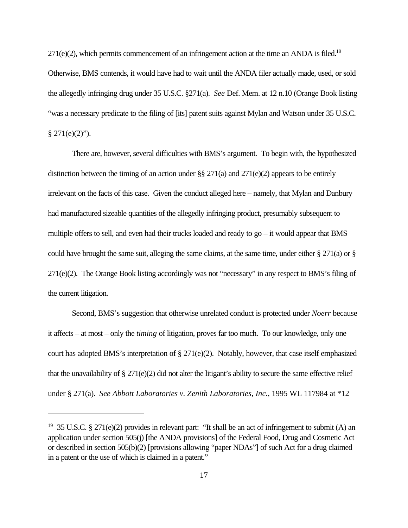$271(e)(2)$ , which permits commencement of an infringement action at the time an ANDA is filed.<sup>19</sup> Otherwise, BMS contends, it would have had to wait until the ANDA filer actually made, used, or sold the allegedly infringing drug under 35 U.S.C. §271(a). *See* Def. Mem. at 12 n.10 (Orange Book listing "was a necessary predicate to the filing of [its] patent suits against Mylan and Watson under 35 U.S.C.  $§$  271(e)(2)").

There are, however, several difficulties with BMS's argument. To begin with, the hypothesized distinction between the timing of an action under §§ 271(a) and 271(e)(2) appears to be entirely irrelevant on the facts of this case. Given the conduct alleged here – namely, that Mylan and Danbury had manufactured sizeable quantities of the allegedly infringing product, presumably subsequent to multiple offers to sell, and even had their trucks loaded and ready to go – it would appear that BMS could have brought the same suit, alleging the same claims, at the same time, under either § 271(a) or § 271(e)(2). The Orange Book listing accordingly was not "necessary" in any respect to BMS's filing of the current litigation.

Second, BMS's suggestion that otherwise unrelated conduct is protected under *Noerr* because it affects – at most – only the *timing* of litigation, proves far too much. To our knowledge, only one court has adopted BMS's interpretation of  $\S 271(e)(2)$ . Notably, however, that case itself emphasized that the unavailability of § 271(e)(2) did not alter the litigant's ability to secure the same effective relief under § 271(a). *See Abbott Laboratories v. Zenith Laboratories, Inc.*, 1995 WL 117984 at \*12

<sup>&</sup>lt;sup>19</sup> 35 U.S.C. § 271(e)(2) provides in relevant part: "It shall be an act of infringement to submit (A) an application under section 505(j) [the ANDA provisions] of the Federal Food, Drug and Cosmetic Act or described in section 505(b)(2) [provisions allowing "paper NDAs"] of such Act for a drug claimed in a patent or the use of which is claimed in a patent."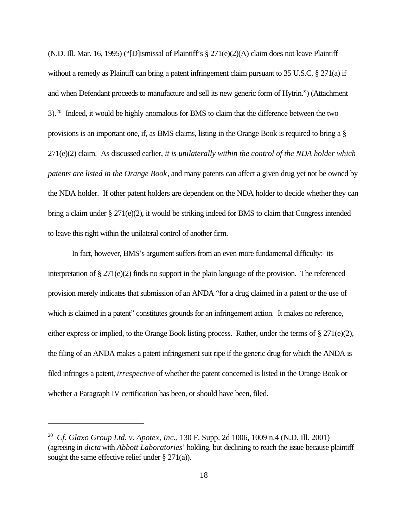(N.D. Ill. Mar. 16, 1995) ("[D]ismissal of Plaintiff's § 271(e)(2)(A) claim does not leave Plaintiff without a remedy as Plaintiff can bring a patent infringement claim pursuant to 35 U.S.C. § 271(a) if and when Defendant proceeds to manufacture and sell its new generic form of Hytrin.") (Attachment 3).<sup>20</sup> Indeed, it would be highly anomalous for BMS to claim that the difference between the two provisions is an important one, if, as BMS claims, listing in the Orange Book is required to bring a § 271(e)(2) claim. As discussed earlier, *it is unilaterally within the control of the NDA holder which patents are listed in the Orange Book*, and many patents can affect a given drug yet not be owned by the NDA holder. If other patent holders are dependent on the NDA holder to decide whether they can bring a claim under  $\S 271(e)(2)$ , it would be striking indeed for BMS to claim that Congress intended to leave this right within the unilateral control of another firm.

In fact, however, BMS's argument suffers from an even more fundamental difficulty: its interpretation of § 271(e)(2) finds no support in the plain language of the provision. The referenced provision merely indicates that submission of an ANDA "for a drug claimed in a patent or the use of which is claimed in a patent" constitutes grounds for an infringement action. It makes no reference, either express or implied, to the Orange Book listing process. Rather, under the terms of § 271(e)(2), the filing of an ANDA makes a patent infringement suit ripe if the generic drug for which the ANDA is filed infringes a patent, *irrespective* of whether the patent concerned is listed in the Orange Book or whether a Paragraph IV certification has been, or should have been, filed.

<sup>20</sup> *Cf. Glaxo Group Ltd. v. Apotex, Inc.*, 130 F. Supp. 2d 1006, 1009 n.4 (N.D. Ill. 2001) (agreeing in *dicta* with *Abbott Laboratories*' holding, but declining to reach the issue because plaintiff sought the same effective relief under § 271(a)).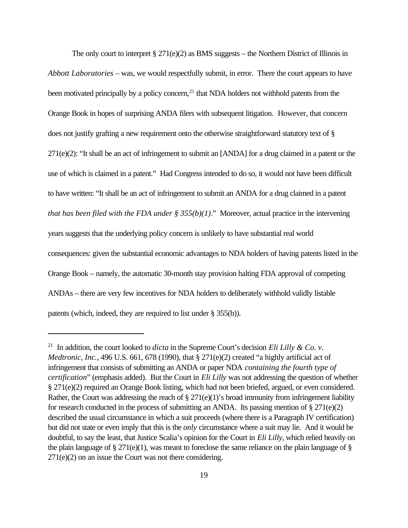The only court to interpret  $\S 271(e)(2)$  as BMS suggests – the Northern District of Illinois in *Abbott Laboratories* – was, we would respectfully submit, in error. There the court appears to have been motivated principally by a policy concern, $^{21}$  that NDA holders not withhold patents from the Orange Book in hopes of surprising ANDA filers with subsequent litigation.However, that concern does not justify grafting a new requirement onto the otherwise straightforward statutory text of § 271(e)(2): "It shall be an act of infringement to submit an [ANDA] for a drug claimed in a patent or the use of which is claimed in a patent." Had Congress intended to do so, it would not have been difficult to have written: "It shall be an act of infringement to submit an ANDA for a drug claimed in a patent *that has been filed with the FDA under § 355(b)(1)*." Moreover, actual practice in the intervening years suggests that the underlying policy concern is unlikely to have substantial real world consequences: given the substantial economic advantages to NDA holders of having patents listed in the Orange Book – namely, the automatic 30-month stay provision halting FDA approval of competing ANDAs – there are very few incentives for NDA holders to deliberately withhold validly listable patents (which, indeed, they are required to list under § 355(b)).

<sup>&</sup>lt;sup>21</sup> In addition, the court looked to *dicta* in the Supreme Court's decision *Eli Lilly & Co. v. Medtronic, Inc.*, 496 U.S. 661, 678 (1990), that § 271(e)(2) created "a highly artificial act of infringement that consists of submitting an ANDA or paper NDA *containing the fourth type of certification*" (emphasis added). But the Court in *Eli Lilly* was not addressing the question of whether § 271(e)(2) required an Orange Book listing, which had not been briefed, argued, or even considered. Rather, the Court was addressing the reach of  $\S 271(e)(1)$ 's broad immunity from infringement liability for research conducted in the process of submitting an ANDA. Its passing mention of  $\S 271(e)(2)$ described the usual circumstance in which a suit proceeds (where there is a Paragraph IV certification) but did not state or even imply that this is the *only* circumstance where a suit may lie. And it would be doubtful, to say the least, that Justice Scalia's opinion for the Court in *Eli Lilly*, which relied heavily on the plain language of  $\S 271(e)(1)$ , was meant to foreclose the same reliance on the plain language of  $\S$ 271(e)(2) on an issue the Court was not there considering.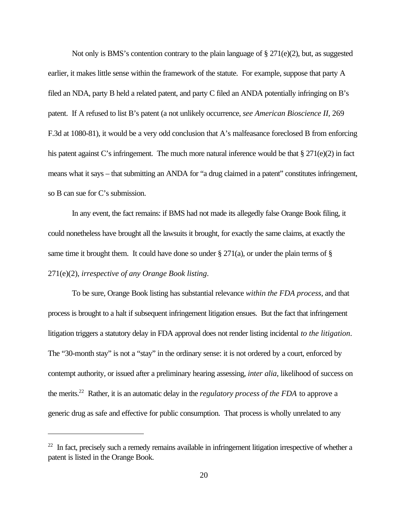Not only is BMS's contention contrary to the plain language of § 271(e)(2), but, as suggested earlier, it makes little sense within the framework of the statute. For example, suppose that party A filed an NDA, party B held a related patent, and party C filed an ANDA potentially infringing on B's patent. If A refused to list B's patent (a not unlikely occurrence, *see American Bioscience II,* 269 F.3d at 1080-81), it would be a very odd conclusion that A's malfeasance foreclosed B from enforcing his patent against C's infringement. The much more natural inference would be that § 271(e)(2) in fact means what it says – that submitting an ANDA for "a drug claimed in a patent" constitutes infringement, so B can sue for C's submission.

In any event, the fact remains: if BMS had not made its allegedly false Orange Book filing, it could nonetheless have brought all the lawsuits it brought, for exactly the same claims, at exactly the same time it brought them. It could have done so under  $\S 271(a)$ , or under the plain terms of  $\S$ 271(e)(2), *irrespective of any Orange Book listing*.

To be sure, Orange Book listing has substantial relevance *within the FDA process*, and that process is brought to a halt if subsequent infringement litigation ensues. But the fact that infringement litigation triggers a statutory delay in FDA approval does not render listing incidental *to the litigation*. The "30-month stay" is not a "stay" in the ordinary sense: it is not ordered by a court, enforced by contempt authority, or issued after a preliminary hearing assessing, *inter alia*, likelihood of success on the merits.<sup>22</sup> Rather, it is an automatic delay in the *regulatory process of the FDA* to approve a generic drug as safe and effective for public consumption. That process is wholly unrelated to any

 $22$  In fact, precisely such a remedy remains available in infringement litigation irrespective of whether a patent is listed in the Orange Book.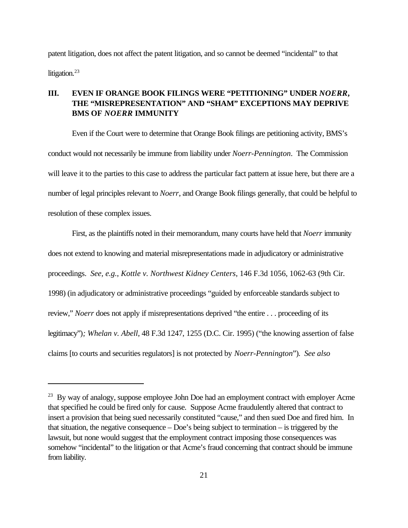patent litigation, does not affect the patent litigation, and so cannot be deemed "incidental" to that litigation. $^{23}$ 

### **III. EVEN IF ORANGE BOOK FILINGS WERE "PETITIONING" UNDER** *NOERR***, THE "MISREPRESENTATION" AND "SHAM" EXCEPTIONS MAY DEPRIVE BMS OF** *NOERR* **IMMUNITY**

Even if the Court were to determine that Orange Book filings are petitioning activity, BMS's conduct would not necessarily be immune from liability under *Noerr-Pennington*. The Commission will leave it to the parties to this case to address the particular fact pattern at issue here, but there are a number of legal principles relevant to *Noerr*, and Orange Book filings generally, that could be helpful to resolution of these complex issues.

First, as the plaintiffs noted in their memorandum, many courts have held that *Noerr* immunity does not extend to knowing and material misrepresentations made in adjudicatory or administrative proceedings. *See, e.g.*, *Kottle v. Northwest Kidney Centers*, 146 F.3d 1056, 1062-63 (9th Cir. 1998) (in adjudicatory or administrative proceedings "guided by enforceable standards subject to review," *Noerr* does not apply if misrepresentations deprived "the entire . . . proceeding of its legitimacy")*; Whelan v. Abell*, 48 F.3d 1247, 1255 (D.C. Cir. 1995) ("the knowing assertion of false claims [to courts and securities regulators] is not protected by *Noerr-Pennington*"). *See also*

<sup>&</sup>lt;sup>23</sup> By way of analogy, suppose employee John Doe had an employment contract with employer Acme that specified he could be fired only for cause. Suppose Acme fraudulently altered that contract to insert a provision that being sued necessarily constituted "cause," and then sued Doe and fired him. In that situation, the negative consequence – Doe's being subject to termination – is triggered by the lawsuit, but none would suggest that the employment contract imposing those consequences was somehow "incidental" to the litigation or that Acme's fraud concerning that contract should be immune from liability.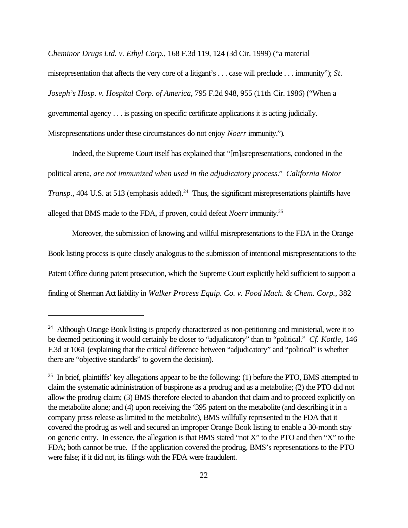*Cheminor Drugs Ltd. v. Ethyl Corp.*, 168 F.3d 119, 124 (3d Cir. 1999) ("a material

misrepresentation that affects the very core of a litigant's . . . case will preclude . . . immunity"); *St. Joseph's Hosp. v. Hospital Corp. of America*, 795 F.2d 948, 955 (11th Cir. 1986) ("When a governmental agency . . . is passing on specific certificate applications it is acting judicially. Misrepresentations under these circumstances do not enjoy *Noerr* immunity.").

Indeed, the Supreme Court itself has explained that "[m]isrepresentations, condoned in the political arena, *are not immunized when used in the adjudicatory process*." *California Motor Transp.*, 404 U.S. at 513 (emphasis added).<sup>24</sup> Thus, the significant misrepresentations plaintiffs have alleged that BMS made to the FDA, if proven, could defeat *Noerr* immunity.<sup>25</sup>

Moreover, the submission of knowing and willful misrepresentations to the FDA in the Orange Book listing process is quite closely analogous to the submission of intentional misrepresentations to the Patent Office during patent prosecution, which the Supreme Court explicitly held sufficient to support a finding of Sherman Act liability in *Walker Process Equip. Co. v. Food Mach. & Chem. Corp.*, 382

<sup>&</sup>lt;sup>24</sup> Although Orange Book listing is properly characterized as non-petitioning and ministerial, were it to be deemed petitioning it would certainly be closer to "adjudicatory" than to "political." *Cf. Kottle,* 146 F.3d at 1061 (explaining that the critical difference between "adjudicatory" and "political" is whether there are "objective standards" to govern the decision).

 $25$  In brief, plaintiffs' key allegations appear to be the following: (1) before the PTO, BMS attempted to claim the systematic administration of buspirone as a prodrug and as a metabolite; (2) the PTO did not allow the prodrug claim; (3) BMS therefore elected to abandon that claim and to proceed explicitly on the metabolite alone; and (4) upon receiving the '395 patent on the metabolite (and describing it in a company press release as limited to the metabolite), BMS willfully represented to the FDA that it covered the prodrug as well and secured an improper Orange Book listing to enable a 30-month stay on generic entry. In essence, the allegation is that BMS stated "not X" to the PTO and then "X" to the FDA; both cannot be true. If the application covered the prodrug, BMS's representations to the PTO were false; if it did not, its filings with the FDA were fraudulent.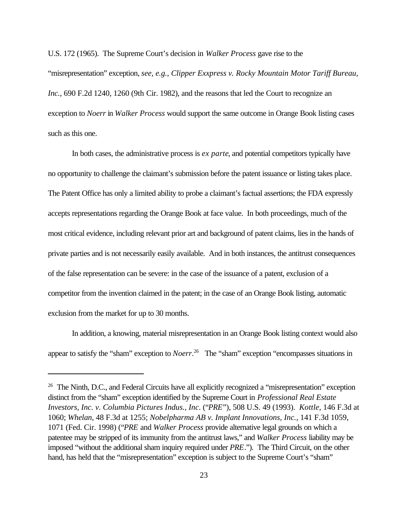U.S. 172 (1965). The Supreme Court's decision in *Walker Process* gave rise to the "misrepresentation" exception, *see, e.g., Clipper Exxpress v. Rocky Mountain Motor Tariff Bureau,* Inc., 690 F.2d 1240, 1260 (9th Cir. 1982), and the reasons that led the Court to recognize an exception to *Noerr* in *Walker Process* would support the same outcome in Orange Book listing cases such as this one.

In both cases, the administrative process is *ex parte*, and potential competitors typically have no opportunity to challenge the claimant's submission before the patent issuance or listing takes place. The Patent Office has only a limited ability to probe a claimant's factual assertions; the FDA expressly accepts representations regarding the Orange Book at face value. In both proceedings, much of the most critical evidence, including relevant prior art and background of patent claims, lies in the hands of private parties and is not necessarily easily available. And in both instances, the antitrust consequences of the false representation can be severe: in the case of the issuance of a patent, exclusion of a competitor from the invention claimed in the patent; in the case of an Orange Book listing, automatic exclusion from the market for up to 30 months.

In addition, a knowing, material misrepresentation in an Orange Book listing context would also appear to satisfy the "sham" exception to *Noerr*. 26 The "sham" exception "encompasses situations in

<sup>&</sup>lt;sup>26</sup> The Ninth, D.C., and Federal Circuits have all explicitly recognized a "misrepresentation" exception distinct from the "sham" exception identified by the Supreme Court in *Professional Real Estate Investors, Inc. v. Columbia Pictures Indus., Inc*. ("*PRE*"), 508 U.S. 49 (1993). *Kottle*, 146 F.3d at 1060; *Whelan*, 48 F.3d at 1255; *Nobelpharma AB v. Implant Innovations, Inc.*, 141 F.3d 1059, 1071 (Fed. Cir. 1998) ("*PRE* and *Walker Process* provide alternative legal grounds on which a patentee may be stripped of its immunity from the antitrust laws," and *Walker Process* liability may be imposed "without the additional sham inquiry required under *PRE*."). The Third Circuit, on the other hand, has held that the "misrepresentation" exception is subject to the Supreme Court's "sham"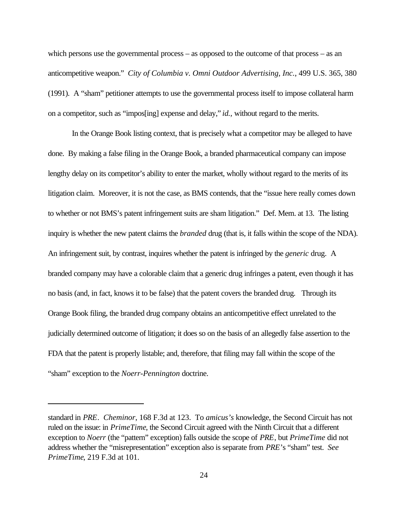which persons use the governmental process – as opposed to the outcome of that process – as an anticompetitive weapon." *City of Columbia v. Omni Outdoor Advertising, Inc.*, 499 U.S. 365, 380 (1991). A "sham" petitioner attempts to use the governmental process itself to impose collateral harm on a competitor, such as "impos[ing] expense and delay," *id.,* without regard to the merits.

In the Orange Book listing context, that is precisely what a competitor may be alleged to have done. By making a false filing in the Orange Book, a branded pharmaceutical company can impose lengthy delay on its competitor's ability to enter the market, wholly without regard to the merits of its litigation claim. Moreover, it is not the case, as BMS contends, that the "issue here really comes down to whether or not BMS's patent infringement suits are sham litigation." Def. Mem. at 13.The listing inquiry is whether the new patent claims the *branded* drug (that is, it falls within the scope of the NDA). An infringement suit, by contrast, inquires whether the patent is infringed by the *generic* drug. A branded company may have a colorable claim that a generic drug infringes a patent, even though it has no basis (and, in fact, knows it to be false) that the patent covers the branded drug. Through its Orange Book filing, the branded drug company obtains an anticompetitive effect unrelated to the judicially determined outcome of litigation; it does so on the basis of an allegedly false assertion to the FDA that the patent is properly listable; and, therefore, that filing may fall within the scope of the "sham" exception to the *Noerr-Pennington* doctrine.

standard in *PRE*. *Cheminor*, 168 F.3d at 123. To *amicus's* knowledge, the Second Circuit has not ruled on the issue: in *PrimeTime*, the Second Circuit agreed with the Ninth Circuit that a different exception to *Noerr* (the "pattern" exception) falls outside the scope of *PRE*, but *PrimeTime* did not address whether the "misrepresentation" exception also is separate from *PRE*'s "sham" test. *See PrimeTime*, 219 F.3d at 101.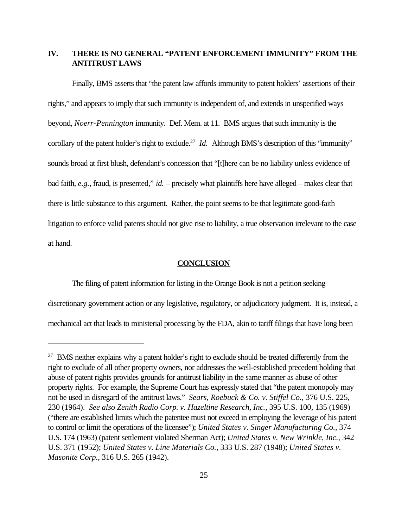### **IV. THERE IS NO GENERAL "PATENT ENFORCEMENT IMMUNITY" FROM THE ANTITRUST LAWS**

Finally, BMS asserts that "the patent law affords immunity to patent holders' assertions of their rights," and appears to imply that such immunity is independent of, and extends in unspecified ways beyond, *Noerr*-*Pennington* immunity. Def. Mem. at 11. BMS argues that such immunity is the corollary of the patent holder's right to exclude.<sup>27</sup> *Id.* Although BMS's description of this "immunity" sounds broad at first blush, defendant's concession that "[t]here can be no liability unless evidence of bad faith, *e.g.*, fraud, is presented," *id.* – precisely what plaintiffs here have alleged – makes clear that there is little substance to this argument. Rather, the point seems to be that legitimate good-faith litigation to enforce valid patents should not give rise to liability, a true observation irrelevant to the case at hand.

#### **CONCLUSION**

The filing of patent information for listing in the Orange Book is not a petition seeking discretionary government action or any legislative, regulatory, or adjudicatory judgment. It is, instead, a mechanical act that leads to ministerial processing by the FDA, akin to tariff filings that have long been

<sup>&</sup>lt;sup>27</sup> BMS neither explains why a patent holder's right to exclude should be treated differently from the right to exclude of all other property owners, nor addresses the well-established precedent holding that abuse of patent rights provides grounds for antitrust liability in the same manner as abuse of other property rights. For example, the Supreme Court has expressly stated that "the patent monopoly may not be used in disregard of the antitrust laws." *Sears, Roebuck & Co. v. Stiffel Co.*, 376 U.S. 225, 230 (1964). *See also Zenith Radio Corp. v. Hazeltine Research, Inc.*, 395 U.S. 100, 135 (1969) ("there are established limits which the patentee must not exceed in employing the leverage of his patent to control or limit the operations of the licensee"); *United States v. Singer Manufacturing Co.*, 374 U.S. 174 (1963) (patent settlement violated Sherman Act); *United States v. New Wrinkle, Inc.*, 342 U.S. 371 (1952); *United States v. Line Materials Co.*, 333 U.S. 287 (1948); *United States v. Masonite Corp.*, 316 U.S. 265 (1942).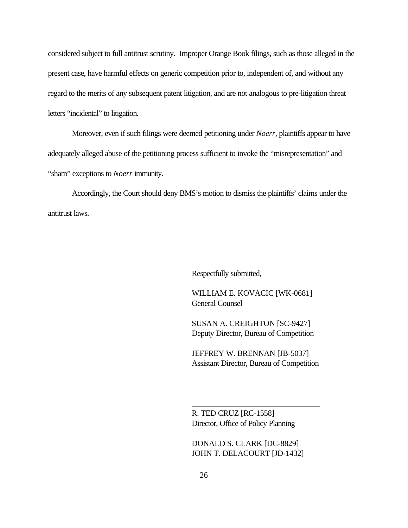considered subject to full antitrust scrutiny. Improper Orange Book filings, such as those alleged in the present case, have harmful effects on generic competition prior to, independent of, and without any regard to the merits of any subsequent patent litigation, and are not analogous to pre-litigation threat letters "incidental" to litigation.

Moreover, even if such filings were deemed petitioning under *Noerr*, plaintiffs appear to have adequately alleged abuse of the petitioning process sufficient to invoke the "misrepresentation" and "sham" exceptions to *Noerr* immunity.

Accordingly, the Court should deny BMS's motion to dismiss the plaintiffs' claims under the antitrust laws.

Respectfully submitted,

WILLIAM E. KOVACIC [WK-0681] General Counsel

SUSAN A. CREIGHTON [SC-9427] Deputy Director, Bureau of Competition

JEFFREY W. BRENNAN [JB-5037] Assistant Director, Bureau of Competition

\_\_\_\_\_\_\_\_\_\_\_\_\_\_\_\_\_\_\_\_\_\_\_\_\_\_\_\_\_\_\_\_

R. TED CRUZ [RC-1558] Director, Office of Policy Planning

DONALD S. CLARK [DC-8829] JOHN T. DELACOURT [JD-1432]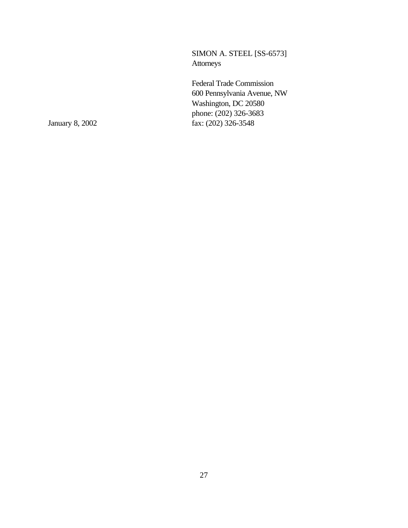SIMON A. STEEL [SS-6573] Attorneys

Federal Trade Commission 600 Pennsylvania Avenue, NW Washington, DC 20580 phone: (202) 326-3683 January 8, 2002 fax: (202) 326-3548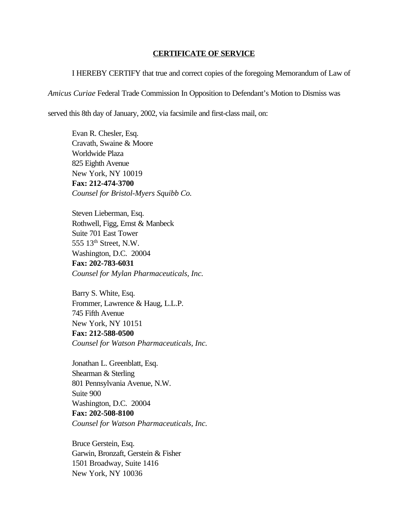#### **CERTIFICATE OF SERVICE**

I HEREBY CERTIFY that true and correct copies of the foregoing Memorandum of Law of

*Amicus Curiae* Federal Trade Commission In Opposition to Defendant's Motion to Dismiss was

served this 8th day of January, 2002, via facsimile and first-class mail, on:

Evan R. Chesler, Esq. Cravath, Swaine & Moore Worldwide Plaza 825 Eighth Avenue New York, NY 10019 **Fax: 212-474-3700** *Counsel for Bristol-Myers Squibb Co.*

Steven Lieberman, Esq. Rothwell, Figg, Ernst & Manbeck Suite 701 East Tower 555 13<sup>th</sup> Street, N.W. Washington, D.C. 20004 **Fax: 202-783-6031** *Counsel for Mylan Pharmaceuticals, Inc.*

Barry S. White, Esq. Frommer, Lawrence & Haug, L.L.P. 745 Fifth Avenue New York, NY 10151 **Fax: 212-588-0500** *Counsel for Watson Pharmaceuticals, Inc.*

Jonathan L. Greenblatt, Esq. Shearman & Sterling 801 Pennsylvania Avenue, N.W. Suite 900 Washington, D.C. 20004 **Fax: 202-508-8100** *Counsel for Watson Pharmaceuticals, Inc.*

Bruce Gerstein, Esq. Garwin, Bronzaft, Gerstein & Fisher 1501 Broadway, Suite 1416 New York, NY 10036